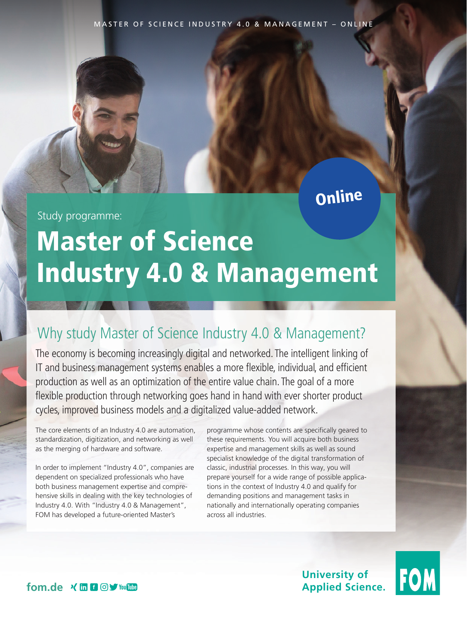MASTER OF SCIENCE INDUSTRY 4.0 & MANAGEMENT – ONLINE

## Online

Study programme:

# Master of Science Industry 4.0 & Management

## Why study Master of Science Industry 4.0 & Management?

The economy is becoming increasingly digital and networked. The intelligent linking of IT and business management systems enables a more flexible, individual, and efficient production as well as an optimization of the entire value chain. The goal of a more flexible production through networking goes hand in hand with ever shorter product cycles, improved business models and a digitalized value-added network.

The core elements of an Industry 4.0 are automation, standardization, digitization, and networking as well as the merging of hardware and software.

In order to implement "Industry 4.0", companies are dependent on specialized professionals who have both business management expertise and comprehensive skills in dealing with the key technologies of Industry 4.0. With "Industry 4.0 & Management", FOM has developed a future-oriented Master's

programme whose contents are specifically geared to these requirements. You will acquire both business expertise and management skills as well as sound specialist knowledge of the digital transformation of classic, industrial processes. In this way, you will prepare yourself for a wide range of possible applications in the context of Industry 4.0 and qualify for demanding positions and management tasks in nationally and internationally operating companies across all industries.

> **University of Applied Science.**



fom.de **x in f @y** You future